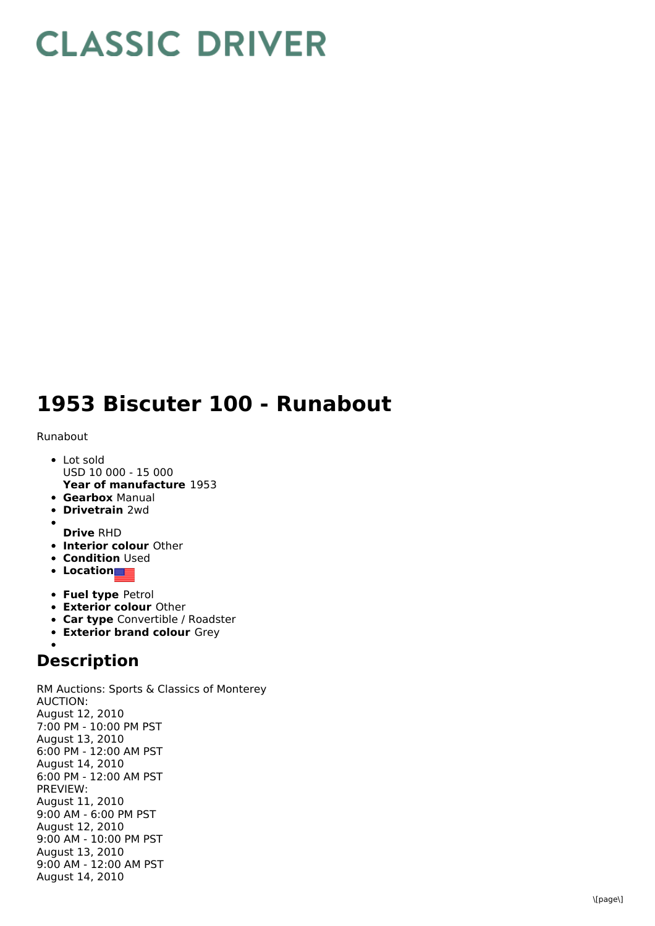## **CLASSIC DRIVER**

## 1953 Biscuter 100 - Runabout

## Runabout

- **Year of manufacture** 1953 L o t s old USD 10 000 - 15 000
- **Gearbox** Manual
- **Drivetrain** 2wd
- **Drive** RHD
- **Interior colour** Other
- **Condition** Used
- **Location**
- **Fuel type Petrol**
- **Exterior colour Other**
- **Car type** Convertible / Roadster
- **Exterior brand colour** Grey

## **Description**

RM Auctions: Sports & Classics of Monterey A U C TIO N: August 12, 2 0 1 0 7:00 PM - 10:00 PM PST August 13, 2010 6:00 PM - 12:00 AM PST August 14, 2010 6:00 PM - 12:00 AM PST P R E VIE W: August 11, 2 0 1 0 9:00 AM - 6:00 PM PST August 12, 2010 9:00 AM - 10:00 PM PST August 13, 2010 9:00 AM - 12:00 AM PST August 14, 2010